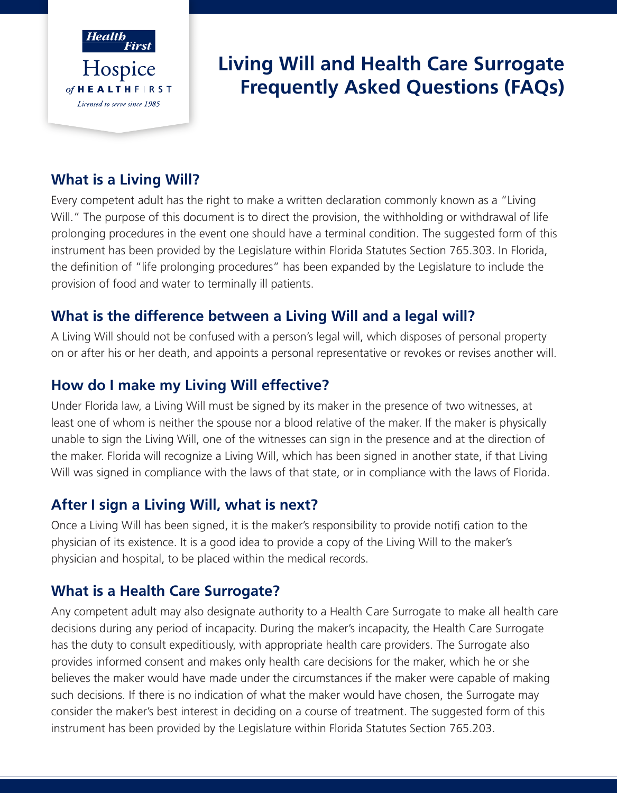

# **Living Will and Health Care Surrogate Frequently Asked Questions (FAQs)**

## **What is a Living Will?**

Every competent adult has the right to make a written declaration commonly known as a "Living Will." The purpose of this document is to direct the provision, the withholding or withdrawal of life prolonging procedures in the event one should have a terminal condition. The suggested form of this instrument has been provided by the Legislature within Florida Statutes Section 765.303. In Florida, the definition of "life prolonging procedures" has been expanded by the Legislature to include the provision of food and water to terminally ill patients.

## **What is the difference between a Living Will and a legal will?**

A Living Will should not be confused with a person's legal will, which disposes of personal property on or after his or her death, and appoints a personal representative or revokes or revises another will.

## **How do I make my Living Will effective?**

Under Florida law, a Living Will must be signed by its maker in the presence of two witnesses, at least one of whom is neither the spouse nor a blood relative of the maker. If the maker is physically unable to sign the Living Will, one of the witnesses can sign in the presence and at the direction of the maker. Florida will recognize a Living Will, which has been signed in another state, if that Living Will was signed in compliance with the laws of that state, or in compliance with the laws of Florida.

## **After I sign a Living Will, what is next?**

Once a Living Will has been signed, it is the maker's responsibility to provide notifi cation to the physician of its existence. It is a good idea to provide a copy of the Living Will to the maker's physician and hospital, to be placed within the medical records.

## **What is a Health Care Surrogate?**

Any competent adult may also designate authority to a Health Care Surrogate to make all health care decisions during any period of incapacity. During the maker's incapacity, the Health Care Surrogate has the duty to consult expeditiously, with appropriate health care providers. The Surrogate also provides informed consent and makes only health care decisions for the maker, which he or she believes the maker would have made under the circumstances if the maker were capable of making such decisions. If there is no indication of what the maker would have chosen, the Surrogate may consider the maker's best interest in deciding on a course of treatment. The suggested form of this instrument has been provided by the Legislature within Florida Statutes Section 765.203.